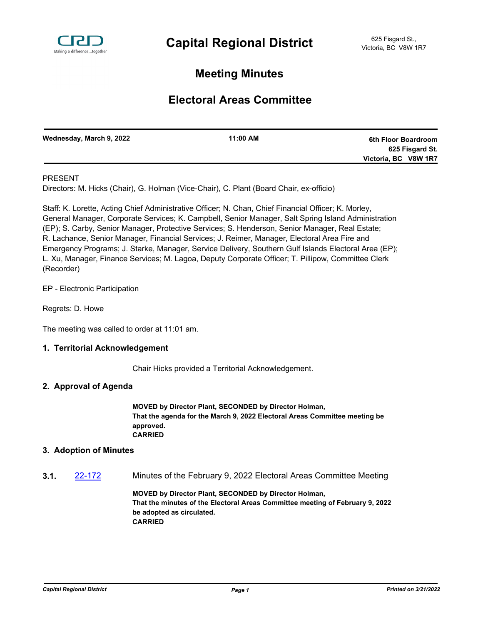

# **Meeting Minutes**

# **Electoral Areas Committee**

| Wednesday, March 9, 2022 | 11:00 AM | 6th Floor Boardroom  |
|--------------------------|----------|----------------------|
|                          |          | 625 Fisgard St.      |
|                          |          | Victoria, BC V8W 1R7 |
|                          |          |                      |

### PRESENT

Directors: M. Hicks (Chair), G. Holman (Vice-Chair), C. Plant (Board Chair, ex-officio)

Staff: K. Lorette, Acting Chief Administrative Officer; N. Chan, Chief Financial Officer; K. Morley, General Manager, Corporate Services; K. Campbell, Senior Manager, Salt Spring Island Administration (EP); S. Carby, Senior Manager, Protective Services; S. Henderson, Senior Manager, Real Estate; R. Lachance, Senior Manager, Financial Services; J. Reimer, Manager, Electoral Area Fire and Emergency Programs; J. Starke, Manager, Service Delivery, Southern Gulf Islands Electoral Area (EP); L. Xu, Manager, Finance Services; M. Lagoa, Deputy Corporate Officer; T. Pillipow, Committee Clerk (Recorder)

EP - Electronic Participation

Regrets: D. Howe

The meeting was called to order at 11:01 am.

### **1. Territorial Acknowledgement**

Chair Hicks provided a Territorial Acknowledgement.

#### **2. Approval of Agenda**

**MOVED by Director Plant, SECONDED by Director Holman, That the agenda for the March 9, 2022 Electoral Areas Committee meeting be approved. CARRIED**

#### **3. Adoption of Minutes**

**3.1.** [22-172](http://crd.ca.legistar.com/gateway.aspx?m=l&id=/matter.aspx?key=9028) Minutes of the February 9, 2022 Electoral Areas Committee Meeting

**MOVED by Director Plant, SECONDED by Director Holman, That the minutes of the Electoral Areas Committee meeting of February 9, 2022 be adopted as circulated. CARRIED**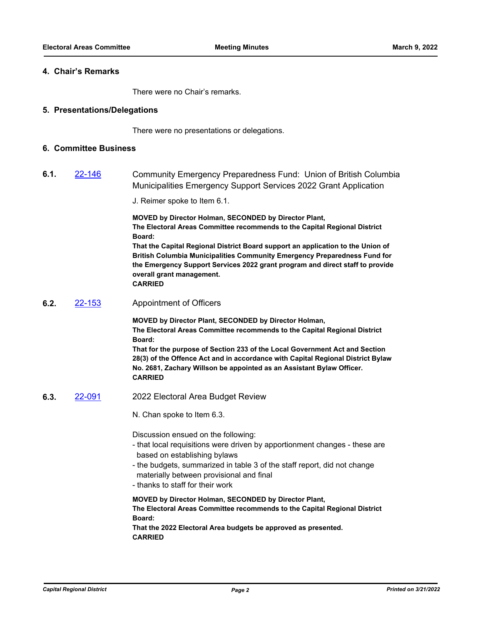#### **4. Chair's Remarks**

There were no Chair's remarks.

#### **5. Presentations/Delegations**

There were no presentations or delegations.

#### **6. Committee Business**

**6.1.** [22-146](http://crd.ca.legistar.com/gateway.aspx?m=l&id=/matter.aspx?key=9002) Community Emergency Preparedness Fund: Union of British Columbia Municipalities Emergency Support Services 2022 Grant Application

J. Reimer spoke to Item 6.1.

**MOVED by Director Holman, SECONDED by Director Plant, The Electoral Areas Committee recommends to the Capital Regional District Board:**

**That the Capital Regional District Board support an application to the Union of British Columbia Municipalities Community Emergency Preparedness Fund for the Emergency Support Services 2022 grant program and direct staff to provide overall grant management.**

**CARRIED**

**6.2.** [22-153](http://crd.ca.legistar.com/gateway.aspx?m=l&id=/matter.aspx?key=9009) Appointment of Officers

**MOVED by Director Plant, SECONDED by Director Holman, The Electoral Areas Committee recommends to the Capital Regional District Board:**

**That for the purpose of Section 233 of the Local Government Act and Section 28(3) of the Offence Act and in accordance with Capital Regional District Bylaw No. 2681, Zachary Willson be appointed as an Assistant Bylaw Officer. CARRIED**

**6.3.** [22-091](http://crd.ca.legistar.com/gateway.aspx?m=l&id=/matter.aspx?key=8947) 2022 Electoral Area Budget Review

N. Chan spoke to Item 6.3.

Discussion ensued on the following:

- that local requisitions were driven by apportionment changes these are based on establishing bylaws
- the budgets, summarized in table 3 of the staff report, did not change materially between provisional and final
- thanks to staff for their work

**MOVED by Director Holman, SECONDED by Director Plant, The Electoral Areas Committee recommends to the Capital Regional District Board: That the 2022 Electoral Area budgets be approved as presented.**

**CARRIED**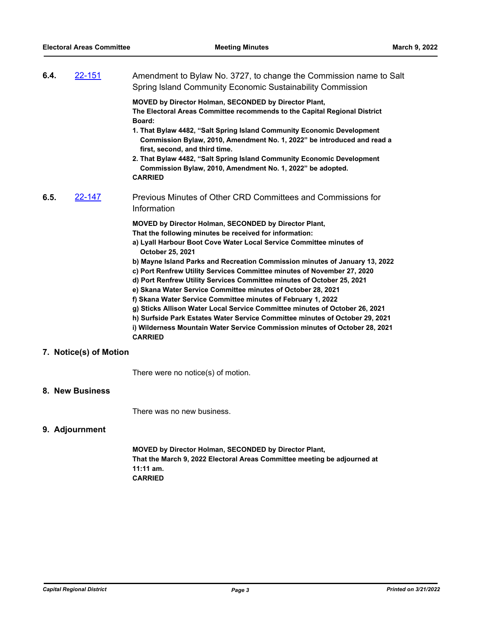| 6.4. | 22-151                 | Amendment to Bylaw No. 3727, to change the Commission name to Salt<br>Spring Island Community Economic Sustainability Commission                                                                                                                             |
|------|------------------------|--------------------------------------------------------------------------------------------------------------------------------------------------------------------------------------------------------------------------------------------------------------|
|      |                        | MOVED by Director Holman, SECONDED by Director Plant,<br>The Electoral Areas Committee recommends to the Capital Regional District<br>Board:                                                                                                                 |
|      |                        | 1. That Bylaw 4482, "Salt Spring Island Community Economic Development<br>Commission Bylaw, 2010, Amendment No. 1, 2022" be introduced and read a<br>first, second, and third time.                                                                          |
|      |                        | 2. That Bylaw 4482, "Salt Spring Island Community Economic Development<br>Commission Bylaw, 2010, Amendment No. 1, 2022" be adopted.<br><b>CARRIED</b>                                                                                                       |
| 6.5. | 22-147                 | Previous Minutes of Other CRD Committees and Commissions for<br>Information                                                                                                                                                                                  |
|      |                        | <b>MOVED by Director Holman, SECONDED by Director Plant,</b>                                                                                                                                                                                                 |
|      |                        | That the following minutes be received for information:<br>a) Lyall Harbour Boot Cove Water Local Service Committee minutes of<br>October 25, 2021                                                                                                           |
|      |                        | b) Mayne Island Parks and Recreation Commission minutes of January 13, 2022                                                                                                                                                                                  |
|      |                        | c) Port Renfrew Utility Services Committee minutes of November 27, 2020<br>d) Port Renfrew Utility Services Committee minutes of October 25, 2021                                                                                                            |
|      |                        | e) Skana Water Service Committee minutes of October 28, 2021                                                                                                                                                                                                 |
|      |                        | f) Skana Water Service Committee minutes of February 1, 2022                                                                                                                                                                                                 |
|      |                        | g) Sticks Allison Water Local Service Committee minutes of October 26, 2021<br>h) Surfside Park Estates Water Service Committee minutes of October 29, 2021<br>i) Wilderness Mountain Water Service Commission minutes of October 28, 2021<br><b>CARRIED</b> |
|      | 7. Notice(s) of Motion |                                                                                                                                                                                                                                                              |

There were no notice(s) of motion.

## **8. New Business**

There was no new business.

## **9. Adjournment**

**MOVED by Director Holman, SECONDED by Director Plant, That the March 9, 2022 Electoral Areas Committee meeting be adjourned at 11:11 am. CARRIED**